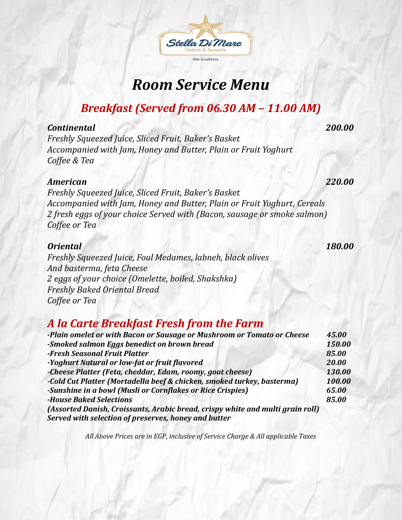# *Room Service Menu*

## *Breakfast (Served from 06.30 AM – 11.00 AM)*

#### *Continental 200.00*

*Freshly Squeezed Juice, Sliced Fruit, Baker's Basket Accompanied with Jam, Honey and Butter, Plain or Fruit Yoghurt Coffee & Tea*

#### *American 220.00*

*Freshly Squeezed Juice, Sliced Fruit, Baker's Basket Accompanied with Jam, Honey and Butter, Plain or Fruit Yoghurt, Cereals 2 fresh eggs of your choice Served with (Bacon, sausage or smoke salmon) Coffee or Tea*

#### *Oriental 180.00*

*Freshly Squeezed Juice, Foul Medames, labneh, black olives And basterma, feta Cheese 2 eggs of your choice (Omelette, boiled, Shakshka) Freshly Baked Oriental Bread Coffee or Tea*

### *A la Carte Breakfast Fresh from the Farm*

| -Plain omelet or with Bacon or Sausage or Mushroom or Tomato or Cheese         | 45.00  |
|--------------------------------------------------------------------------------|--------|
| -Smoked salmon Eggs benedict on brown bread                                    | 150.00 |
| -Fresh Seasonal Fruit Platter                                                  | 85.00  |
| -Yoghurt Natural or low-fat or fruit flavored                                  | 20.00  |
| -Cheese Platter (Feta, cheddar, Edam, roomy, goat cheese)                      | 130.00 |
| -Cold Cut Platter (Mortadella beef & chicken, smoked turkey, basterma)         | 100.00 |
| -Sunshine in a bowl (Musli or Cornflakes or Rice Crispies)                     | 65.00  |
| <b>-House Baked Selections</b>                                                 | 85.00  |
| (Assorted Danish, Croissants, Arabic bread, crispy white and multi grain roll) |        |
| Served with selection of preserves, honey and butter                           |        |

*All Above Prices are in EGP, inclusive of Service Charge & All applicable Taxes*

# Ain Soukhna

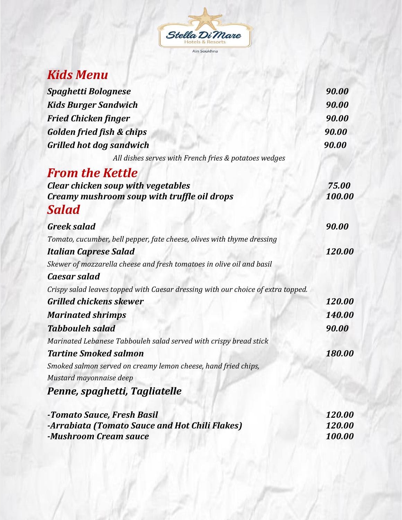

## *Kids Menu*

| <b>Spaghetti Bolognese</b>                                                       | 90.00  |
|----------------------------------------------------------------------------------|--------|
| <b>Kids Burger Sandwich</b>                                                      | 90.00  |
| <b>Fried Chicken finger</b>                                                      | 90.00  |
| <b>Golden fried fish &amp; chips</b>                                             | 90.00  |
| <b>Grilled hot dog sandwich</b>                                                  | 90.00  |
| All dishes serves with French fries & potatoes wedges                            |        |
| <b>From the Kettle</b>                                                           |        |
| <b>Clear chicken soup with vegetables</b>                                        | 75.00  |
| Creamy mushroom soup with truffle oil drops                                      | 100.00 |
| Salad                                                                            |        |
| <b>Greek salad</b>                                                               | 90.00  |
| Tomato, cucumber, bell pepper, fate cheese, olives with thyme dressing           |        |
| <b>Italian Caprese Salad</b>                                                     | 120.00 |
| Skewer of mozzarella cheese and fresh tomatoes in olive oil and basil            |        |
| <b>Caesar salad</b>                                                              |        |
| Crispy salad leaves topped with Caesar dressing with our choice of extra topped. |        |
| <b>Grilled chickens skewer</b>                                                   | 120.00 |
| <b>Marinated shrimps</b>                                                         | 140.00 |
| <b>Tabbouleh salad</b>                                                           | 90.00  |
| Marinated Lebanese Tabbouleh salad served with crispy bread stick                |        |
| <b>Tartine Smoked salmon</b>                                                     | 180.00 |
| Smoked salmon served on creamy lemon cheese, hand fried chips,                   |        |
| Mustard mayonnaise deep                                                          |        |
| Penne, spaghetti, Tagliatelle                                                    |        |
| -Tomato Sauce, Fresh Basil                                                       | 120.00 |
| -Arrabiata (Tomato Sauce and Hot Chili Flakes)                                   | 120.00 |

*<u><i>Aushroom Cream sauce* 100.00 **100.00**</u>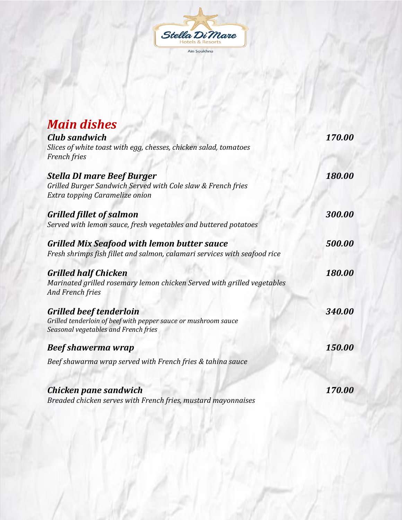

| <b>Main dishes</b><br><b>Club sandwich</b><br>Slices of white toast with egg, chesses, chicken salad, tomatoes<br><b>French</b> fries    | 170.00 |
|------------------------------------------------------------------------------------------------------------------------------------------|--------|
| <b>Stella DI mare Beef Burger</b><br>Grilled Burger Sandwich Served with Cole slaw & French fries<br>Extra topping Caramelize onion      | 180.00 |
| <b>Grilled fillet of salmon</b><br>Served with lemon sauce, fresh vegetables and buttered potatoes                                       | 300.00 |
| <b>Grilled Mix Seafood with lemon butter sauce</b><br>Fresh shrimps fish fillet and salmon, calamari services with seafood rice          | 500.00 |
| <b>Grilled half Chicken</b><br>Marinated grilled rosemary lemon chicken Served with grilled vegetables<br><b>And French fries</b>        | 180.00 |
| <b>Grilled beef tenderloin</b><br>Grilled tenderloin of beef with pepper sauce or mushroom sauce<br>Seasonal vegetables and French fries | 340.00 |
| <b>Beef shawerma wrap</b>                                                                                                                | 150.00 |
| Beef shawarma wrap served with French fries & tahina sauce                                                                               |        |
| Chicken pane sandwich<br>Breaded chicken serves with French fries, mustard mayonnaises                                                   | 170.00 |